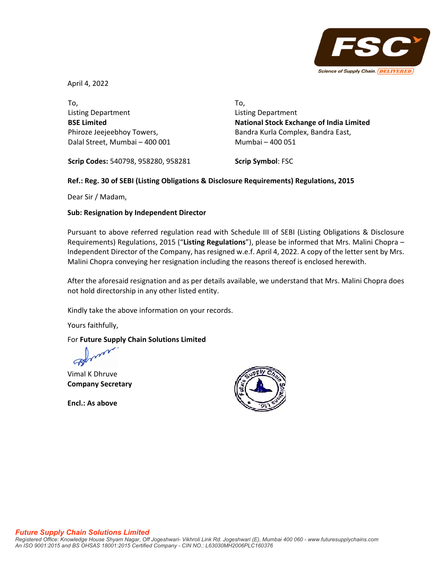

April 4, 2022

To, Listing Department **BSE Limited** Phiroze Jeejeebhoy Towers, Dalal Street, Mumbai – 400 001 To, Listing Department **National Stock Exchange of India Limited** Bandra Kurla Complex, Bandra East, Mumbai – 400 051

**Scrip Codes:** 540798, 958280, 958281

**Scrip Symbol**: FSC

## **Ref.: Reg. 30 of SEBI (Listing Obligations & Disclosure Requirements) Regulations, 2015**

Dear Sir / Madam,

## **Sub: Resignation by Independent Director**

Pursuant to above referred regulation read with Schedule III of SEBI (Listing Obligations & Disclosure Requirements) Regulations, 2015 ("**Listing Regulations**"), please be informed that Mrs. Malini Chopra – Independent Director of the Company, has resigned w.e.f. April 4, 2022. A copy of the letter sent by Mrs. Malini Chopra conveying her resignation including the reasons thereof is enclosed herewith.

After the aforesaid resignation and as per details available, we understand that Mrs. Malini Chopra does not hold directorship in any other listed entity.

Kindly take the above information on your records.

Yours faithfully,

## For **Future Supply Chain Solutions Limited**

Vimal K Dhruve **Company Secretary**

**Encl.: As above**